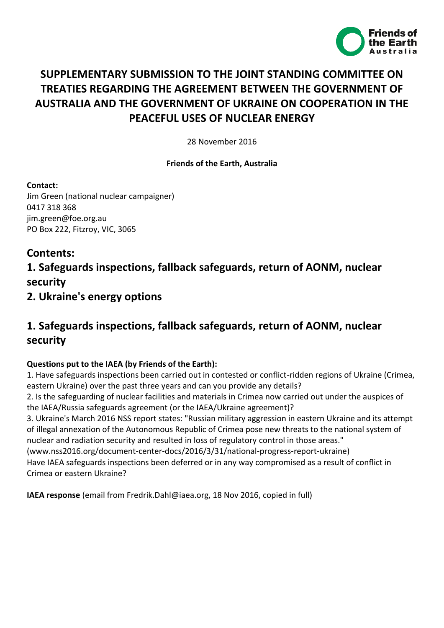

# **SUPPLEMENTARY SUBMISSION TO THE JOINT STANDING COMMITTEE ON TREATIES REGARDING THE AGREEMENT BETWEEN THE GOVERNMENT OF AUSTRALIA AND THE GOVERNMENT OF UKRAINE ON COOPERATION IN THE PEACEFUL USES OF NUCLEAR ENERGY**

28 November 2016

### **Friends of the Earth, Australia**

**Contact:**

Jim Green (national nuclear campaigner) 0417 318 368 jim.green@foe.org.au PO Box 222, Fitzroy, VIC, 3065

## **Contents:**

# **1. Safeguards inspections, fallback safeguards, return of AONM, nuclear security**

**2. Ukraine's energy options**

# **1. Safeguards inspections, fallback safeguards, return of AONM, nuclear security**

### **Questions put to the IAEA (by Friends of the Earth):**

1. Have safeguards inspections been carried out in contested or conflict-ridden regions of Ukraine (Crimea, eastern Ukraine) over the past three years and can you provide any details?

2. Is the safeguarding of nuclear facilities and materials in Crimea now carried out under the auspices of the IAEA/Russia safeguards agreement (or the IAEA/Ukraine agreement)?

3. Ukraine's March 2016 NSS report states: "Russian military aggression in eastern Ukraine and its attempt of illegal annexation of the Autonomous Republic of Crimea pose new threats to the national system of nuclear and radiation security and resulted in loss of regulatory control in those areas."

(www.nss2016.org/document-center-docs/2016/3/31/national-progress-report-ukraine) Have IAEA safeguards inspections been deferred or in any way compromised as a result of conflict in

Crimea or eastern Ukraine?

**IAEA response** (email from Fredrik.Dahl@iaea.org, 18 Nov 2016, copied in full)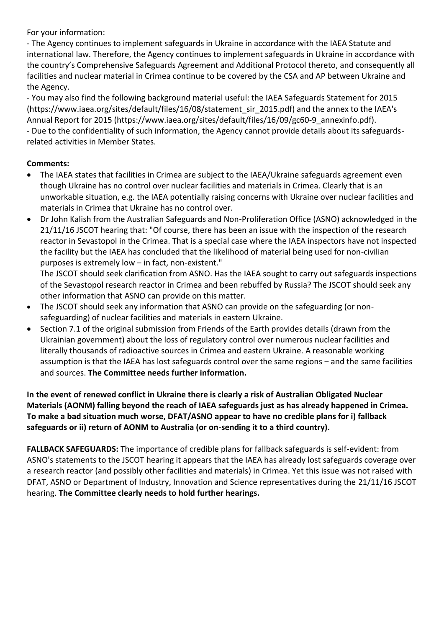For your information:

- The Agency continues to implement safeguards in Ukraine in accordance with the IAEA Statute and international law. Therefore, the Agency continues to implement safeguards in Ukraine in accordance with the country's Comprehensive Safeguards Agreement and Additional Protocol thereto, and consequently all facilities and nuclear material in Crimea continue to be covered by the CSA and AP between Ukraine and the Agency.

- You may also find the following background material useful: the IAEA Safeguards Statement for 2015 (https://www.iaea.org/sites/default/files/16/08/statement\_sir\_2015.pdf) and the annex to the IAEA's Annual Report for 2015 (https://www.iaea.org/sites/default/files/16/09/gc60-9\_annexinfo.pdf). - Due to the confidentiality of such information, the Agency cannot provide details about its safeguardsrelated activities in Member States.

### **Comments:**

- The IAEA states that facilities in Crimea are subject to the IAEA/Ukraine safeguards agreement even though Ukraine has no control over nuclear facilities and materials in Crimea. Clearly that is an unworkable situation, e.g. the IAEA potentially raising concerns with Ukraine over nuclear facilities and materials in Crimea that Ukraine has no control over.
- Dr John Kalish from the Australian Safeguards and Non-Proliferation Office (ASNO) acknowledged in the 21/11/16 JSCOT hearing that: "Of course, there has been an issue with the inspection of the research reactor in Sevastopol in the Crimea. That is a special case where the IAEA inspectors have not inspected the facility but the IAEA has concluded that the likelihood of material being used for non-civilian purposes is extremely low ‒ in fact, non-existent."

The JSCOT should seek clarification from ASNO. Has the IAEA sought to carry out safeguards inspections of the Sevastopol research reactor in Crimea and been rebuffed by Russia? The JSCOT should seek any other information that ASNO can provide on this matter.

- The JSCOT should seek any information that ASNO can provide on the safeguarding (or nonsafeguarding) of nuclear facilities and materials in eastern Ukraine.
- Section 7.1 of the original submission from Friends of the Earth provides details (drawn from the Ukrainian government) about the loss of regulatory control over numerous nuclear facilities and literally thousands of radioactive sources in Crimea and eastern Ukraine. A reasonable working assumption is that the IAEA has lost safeguards control over the same regions - and the same facilities and sources. **The Committee needs further information.**

**In the event of renewed conflict in Ukraine there is clearly a risk of Australian Obligated Nuclear Materials (AONM) falling beyond the reach of IAEA safeguards just as has already happened in Crimea. To make a bad situation much worse, DFAT/ASNO appear to have no credible plans for i) fallback safeguards or ii) return of AONM to Australia (or on-sending it to a third country).**

**FALLBACK SAFEGUARDS:** The importance of credible plans for fallback safeguards is self-evident: from ASNO's statements to the JSCOT hearing it appears that the IAEA has already lost safeguards coverage over a research reactor (and possibly other facilities and materials) in Crimea. Yet this issue was not raised with DFAT, ASNO or Department of Industry, Innovation and Science representatives during the 21/11/16 JSCOT hearing. **The Committee clearly needs to hold further hearings.**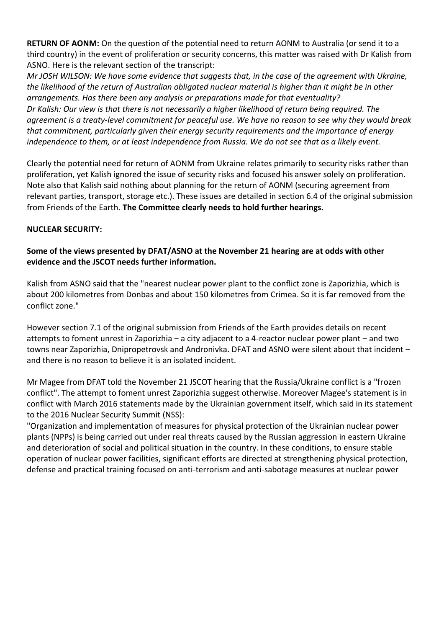**RETURN OF AONM:** On the question of the potential need to return AONM to Australia (or send it to a third country) in the event of proliferation or security concerns, this matter was raised with Dr Kalish from ASNO. Here is the relevant section of the transcript:

*Mr JOSH WILSON: We have some evidence that suggests that, in the case of the agreement with Ukraine, the likelihood of the return of Australian obligated nuclear material is higher than it might be in other arrangements. Has there been any analysis or preparations made for that eventuality? Dr Kalish: Our view is that there is not necessarily a higher likelihood of return being required. The agreement is a treaty-level commitment for peaceful use. We have no reason to see why they would break that commitment, particularly given their energy security requirements and the importance of energy independence to them, or at least independence from Russia. We do not see that as a likely event.*

Clearly the potential need for return of AONM from Ukraine relates primarily to security risks rather than proliferation, yet Kalish ignored the issue of security risks and focused his answer solely on proliferation. Note also that Kalish said nothing about planning for the return of AONM (securing agreement from relevant parties, transport, storage etc.). These issues are detailed in section 6.4 of the original submission from Friends of the Earth. **The Committee clearly needs to hold further hearings.**

### **NUCLEAR SECURITY:**

### **Some of the views presented by DFAT/ASNO at the November 21 hearing are at odds with other evidence and the JSCOT needs further information.**

Kalish from ASNO said that the "nearest nuclear power plant to the conflict zone is Zaporizhia, which is about 200 kilometres from Donbas and about 150 kilometres from Crimea. So it is far removed from the conflict zone."

However section 7.1 of the original submission from Friends of the Earth provides details on recent attempts to foment unrest in Zaporizhia – a city adjacent to a 4-reactor nuclear power plant – and two towns near Zaporizhia, Dnipropetrovsk and Andronivka. DFAT and ASNO were silent about that incident and there is no reason to believe it is an isolated incident.

Mr Magee from DFAT told the November 21 JSCOT hearing that the Russia/Ukraine conflict is a "frozen conflict". The attempt to foment unrest Zaporizhia suggest otherwise. Moreover Magee's statement is in conflict with March 2016 statements made by the Ukrainian government itself, which said in its statement to the 2016 Nuclear Security Summit (NSS):

"Organization and implementation of measures for physical protection of the Ukrainian nuclear power plants (NPPs) is being carried out under real threats caused by the Russian aggression in eastern Ukraine and deterioration of social and political situation in the country. In these conditions, to ensure stable operation of nuclear power facilities, significant efforts are directed at strengthening physical protection, defense and practical training focused on anti-terrorism and anti-sabotage measures at nuclear power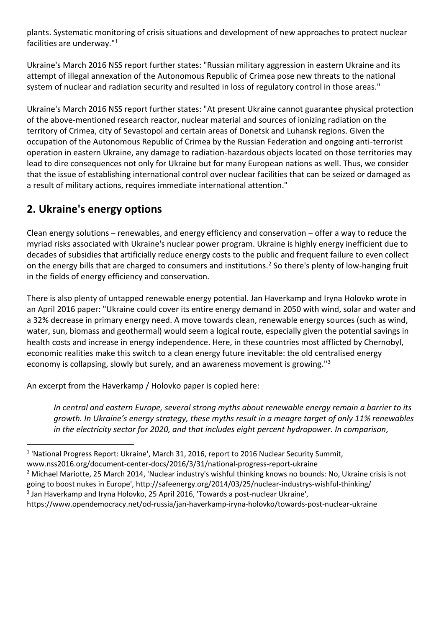plants. Systematic monitoring of crisis situations and development of new approaches to protect nuclear facilities are underway."<sup>1</sup>

Ukraine's March 2016 NSS report further states: "Russian military aggression in eastern Ukraine and its attempt of illegal annexation of the Autonomous Republic of Crimea pose new threats to the national system of nuclear and radiation security and resulted in loss of regulatory control in those areas."

Ukraine's March 2016 NSS report further states: "At present Ukraine cannot guarantee physical protection of the above-mentioned research reactor, nuclear material and sources of ionizing radiation on the territory of Crimea, city of Sevastopol and certain areas of Donetsk and Luhansk regions. Given the occupation of the Autonomous Republic of Crimea by the Russian Federation and ongoing anti-terrorist operation in eastern Ukraine, any damage to radiation-hazardous objects located on those territories may lead to dire consequences not only for Ukraine but for many European nations as well. Thus, we consider that the issue of establishing international control over nuclear facilities that can be seized or damaged as a result of military actions, requires immediate international attention."

# **2. Ukraine's energy options**

1

Clean energy solutions  $-$  renewables, and energy efficiency and conservation  $-$  offer a way to reduce the myriad risks associated with Ukraine's nuclear power program. Ukraine is highly energy inefficient due to decades of subsidies that artificially reduce energy costs to the public and frequent failure to even collect on the energy bills that are charged to consumers and institutions.<sup>2</sup> So there's plenty of low-hanging fruit in the fields of energy efficiency and conservation.

There is also plenty of untapped renewable energy potential. Jan Haverkamp and Iryna Holovko wrote in an April 2016 paper: "Ukraine could cover its entire energy demand in 2050 with wind, solar and water and a 32% decrease in primary energy need. A move towards clean, renewable energy sources (such as wind, water, sun, biomass and geothermal) would seem a logical route, especially given the potential savings in health costs and increase in energy independence. Here, in these countries most afflicted by Chernobyl, economic realities make this switch to a clean energy future inevitable: the old centralised energy economy is collapsing, slowly but surely, and an awareness movement is growing."<sup>3</sup>

An excerpt from the Haverkamp / Holovko paper is copied here:

*In central and eastern Europe, several strong myths about renewable energy remain a barrier to its growth. In Ukraine's energy strategy, these myths result in a meagre target of only 11% renewables in the electricity sector for 2020, and that includes eight percent hydropower. In comparison,* 

www.nss2016.org/document-center-docs/2016/3/31/national-progress-report-ukraine

<sup>2</sup> Michael Mariotte, 25 March 2014, 'Nuclear industry's wishful thinking knows no bounds: No, Ukraine crisis is not going to boost nukes in Europe', http://safeenergy.org/2014/03/25/nuclear-industrys-wishful-thinking/ <sup>3</sup> Jan Haverkamp and Iryna Holovko, 25 April 2016, 'Towards a post-nuclear Ukraine',

<sup>&</sup>lt;sup>1</sup> 'National Progress Report: Ukraine', March 31, 2016, report to 2016 Nuclear Security Summit,

https://www.opendemocracy.net/od-russia/jan-haverkamp-iryna-holovko/towards-post-nuclear-ukraine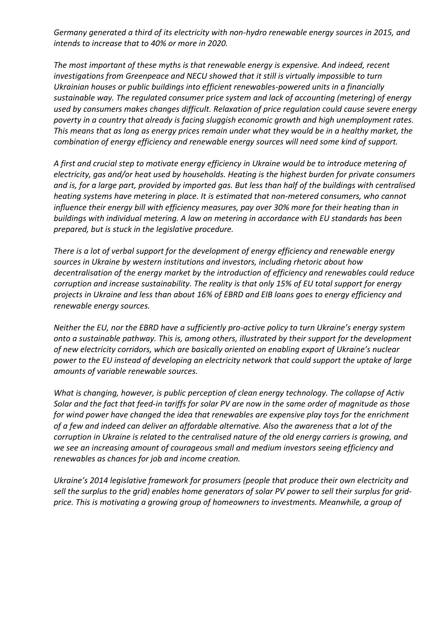*Germany generated a third of its electricity with non-hydro renewable energy sources in 2015, and intends to increase that to 40% or more in 2020.*

*The most important of these myths is that renewable energy is expensive. And indeed, recent investigations from Greenpeace and NECU showed that it still is virtually impossible to turn Ukrainian houses or public buildings into efficient renewables-powered units in a financially sustainable way. The regulated consumer price system and lack of accounting (metering) of energy used by consumers makes changes difficult. Relaxation of price regulation could cause severe energy poverty in a country that already is facing sluggish economic growth and high unemployment rates. This means that as long as energy prices remain under what they would be in a healthy market, the combination of energy efficiency and renewable energy sources will need some kind of support.*

*A first and crucial step to motivate energy efficiency in Ukraine would be to introduce metering of electricity, gas and/or heat used by households. Heating is the highest burden for private consumers and is, for a large part, provided by imported gas. But less than half of the buildings with centralised heating systems have metering in place. It is estimated that non-metered consumers, who cannot influence their energy bill with efficiency measures, pay over 30% more for their heating than in buildings with individual metering. A law on metering in accordance with EU standards has been prepared, but is stuck in the legislative procedure.*

*There is a lot of verbal support for the development of energy efficiency and renewable energy sources in Ukraine by western institutions and investors, including rhetoric about how decentralisation of the energy market by the introduction of efficiency and renewables could reduce corruption and increase sustainability. The reality is that only 15% of EU total support for energy projects in Ukraine and less than about 16% of EBRD and EIB loans goes to energy efficiency and renewable energy sources.*

*Neither the EU, nor the EBRD have a sufficiently pro-active policy to turn Ukraine's energy system onto a sustainable pathway. This is, among others, illustrated by their support for the development of new electricity corridors, which are basically oriented on enabling export of Ukraine's nuclear power to the EU instead of developing an electricity network that could support the uptake of large amounts of variable renewable sources.*

*What is changing, however, is public perception of clean energy technology. The collapse of Activ Solar and the fact that feed-in tariffs for solar PV are now in the same order of magnitude as those for wind power have changed the idea that renewables are expensive play toys for the enrichment of a few and indeed can deliver an affordable alternative. Also the awareness that a lot of the corruption in Ukraine is related to the centralised nature of the old energy carriers is growing, and we see an increasing amount of courageous small and medium investors seeing efficiency and renewables as chances for job and income creation.*

*Ukraine's 2014 legislative framework for prosumers (people that produce their own electricity and sell the surplus to the grid) enables home generators of solar PV power to sell their surplus for gridprice. This is motivating a growing group of homeowners to investments. Meanwhile, a group of*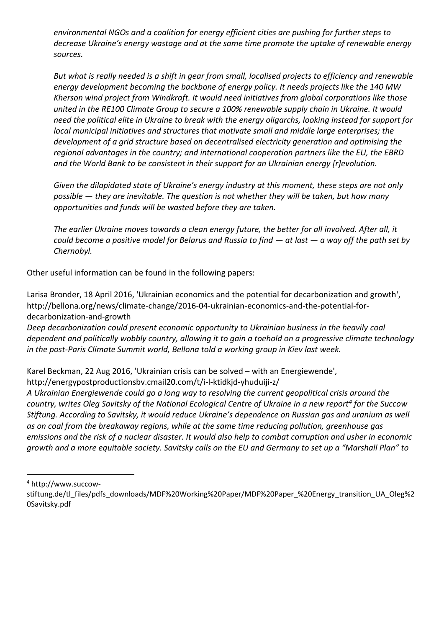*environmental NGOs and a coalition for energy efficient cities are pushing for further steps to decrease Ukraine's energy wastage and at the same time promote the uptake of renewable energy sources.*

*But what is really needed is a shift in gear from small, localised projects to efficiency and renewable energy development becoming the backbone of energy policy. It needs projects like the 140 MW Kherson wind project from Windkraft. It would need initiatives from global corporations like those united in the RE100 Climate Group to secure a 100% renewable supply chain in Ukraine. It would need the political elite in Ukraine to break with the energy oligarchs, looking instead for support for local municipal initiatives and structures that motivate small and middle large enterprises; the development of a grid structure based on decentralised electricity generation and optimising the regional advantages in the country; and international cooperation partners like the EU, the EBRD and the World Bank to be consistent in their support for an Ukrainian energy [r]evolution.*

*Given the dilapidated state of Ukraine's energy industry at this moment, these steps are not only possible — they are inevitable. The question is not whether they will be taken, but how many opportunities and funds will be wasted before they are taken.*

*The earlier Ukraine moves towards a clean energy future, the better for all involved. After all, it could become a positive model for Belarus and Russia to find — at last — a way off the path set by Chernobyl.*

Other useful information can be found in the following papers:

Larisa Bronder, 18 April 2016, 'Ukrainian economics and the potential for decarbonization and growth', http://bellona.org/news/climate-change/2016-04-ukrainian-economics-and-the-potential-fordecarbonization-and-growth

*Deep decarbonization could present economic opportunity to Ukrainian business in the heavily coal dependent and politically wobbly country, allowing it to gain a toehold on a progressive climate technology in the post-Paris Climate Summit world, Bellona told a working group in Kiev last week.* 

Karel Beckman, 22 Aug 2016, 'Ukrainian crisis can be solved – with an Energiewende',

http://energypostproductionsbv.cmail20.com/t/i-l-ktidkjd-yhuduiji-z/

*A Ukrainian Energiewende could go a long way to resolving the current geopolitical crisis around the country, writes Oleg Savitsky of the National Ecological Centre of Ukraine in a new report<sup>4</sup> for the Succow Stiftung. According to Savitsky, it would reduce Ukraine's dependence on Russian gas and uranium as well as on coal from the breakaway regions, while at the same time reducing pollution, greenhouse gas emissions and the risk of a nuclear disaster. It would also help to combat corruption and usher in economic growth and a more equitable society. Savitsky calls on the EU and Germany to set up a "Marshall Plan" to* 

<u>.</u>

<sup>4</sup> http://www.succow-

stiftung.de/tl\_files/pdfs\_downloads/MDF%20Working%20Paper/MDF%20Paper\_%20Energy\_transition\_UA\_Oleg%2 0Savitsky.pdf